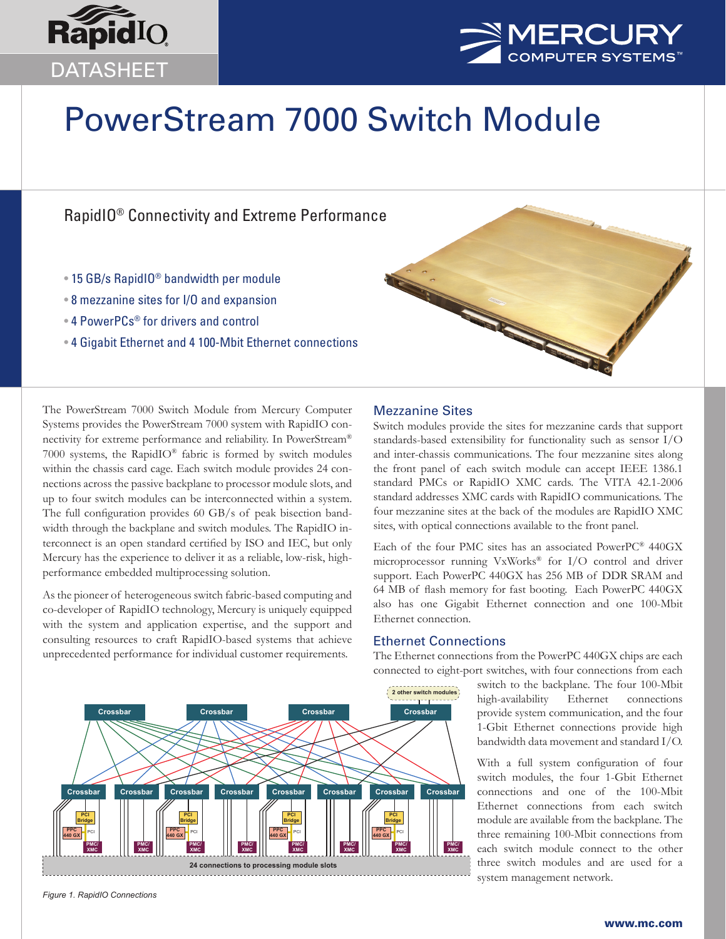



# PowerStream 7000 Switch Module

# RapidIO® Connectivity and Extreme Performance

- 15 GB/s RapidIO® bandwidth per module
- 8 mezzanine sites for I/O and expansion
- 4 PowerPCs® for drivers and control
- 4 Gigabit Ethernet and 4 100-Mbit Ethernet connections



The PowerStream 7000 Switch Module from Mercury Computer Systems provides the PowerStream 7000 system with RapidIO connectivity for extreme performance and reliability. In PowerStream® 7000 systems, the RapidIO® fabric is formed by switch modules within the chassis card cage. Each switch module provides 24 connections across the passive backplane to processor module slots, and up to four switch modules can be interconnected within a system. The full configuration provides 60 GB/s of peak bisection bandwidth through the backplane and switch modules. The RapidIO interconnect is an open standard certified by ISO and IEC, but only Mercury has the experience to deliver it as a reliable, low-risk, highperformance embedded multiprocessing solution.

As the pioneer of heterogeneous switch fabric-based computing and co-developer of RapidIO technology, Mercury is uniquely equipped with the system and application expertise, and the support and consulting resources to craft RapidIO-based systems that achieve unprecedented performance for individual customer requirements.

# Mezzanine Sites

Switch modules provide the sites for mezzanine cards that support standards-based extensibility for functionality such as sensor I/O and inter-chassis communications. The four mezzanine sites along the front panel of each switch module can accept IEEE 1386.1 standard PMCs or RapidIO XMC cards. The VITA 42.1-2006 standard addresses XMC cards with RapidIO communications. The four mezzanine sites at the back of the modules are RapidIO XMC sites, with optical connections available to the front panel.

Each of the four PMC sites has an associated PowerPC® 440GX microprocessor running VxWorks® for I/O control and driver support. Each PowerPC 440GX has 256 MB of DDR SRAM and 64 MB of flash memory for fast booting. Each PowerPC 440GX also has one Gigabit Ethernet connection and one 100-Mbit Ethernet connection.

## Ethernet Connections

The Ethernet connections from the PowerPC 440GX chips are each connected to eight-port switches, with four connections from each

> switch to the backplane. The four 100-Mbit high-availability Ethernet connections provide system communication, and the four 1-Gbit Ethernet connections provide high bandwidth data movement and standard I/O.

> With a full system configuration of four switch modules, the four 1-Gbit Ethernet connections and one of the 100-Mbit Ethernet connections from each switch module are available from the backplane. The three remaining 100-Mbit connections from each switch module connect to the other three switch modules and are used for a system management network.